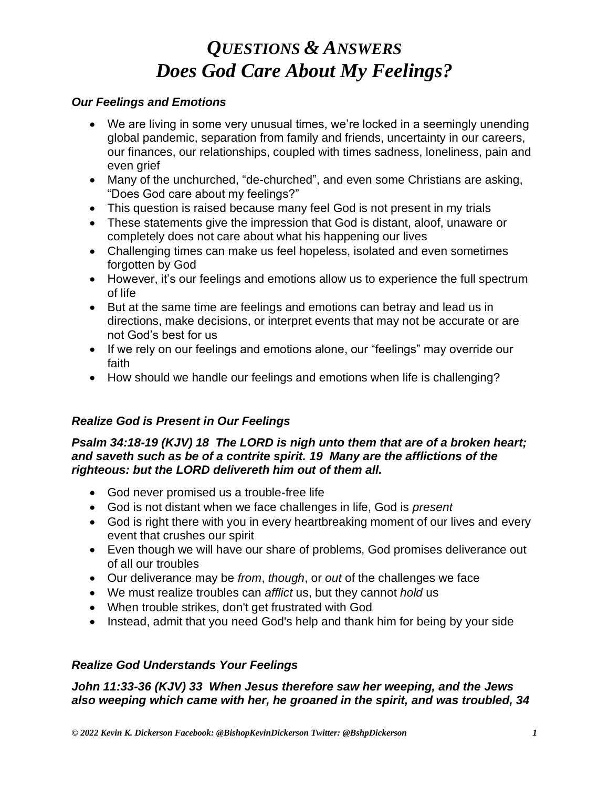#### *Our Feelings and Emotions*

- We are living in some very unusual times, we're locked in a seemingly unending global pandemic, separation from family and friends, uncertainty in our careers, our finances, our relationships, coupled with times sadness, loneliness, pain and even grief
- Many of the unchurched, "de-churched", and even some Christians are asking, "Does God care about my feelings?"
- This question is raised because many feel God is not present in my trials
- These statements give the impression that God is distant, aloof, unaware or completely does not care about what his happening our lives
- Challenging times can make us feel hopeless, isolated and even sometimes forgotten by God
- However, it's our feelings and emotions allow us to experience the full spectrum of life
- But at the same time are feelings and emotions can betray and lead us in directions, make decisions, or interpret events that may not be accurate or are not God's best for us
- If we rely on our feelings and emotions alone, our "feelings" may override our faith
- How should we handle our feelings and emotions when life is challenging?

# *Realize God is Present in Our Feelings*

#### *Psalm 34:18-19 (KJV) 18 The LORD is nigh unto them that are of a broken heart; and saveth such as be of a contrite spirit. 19 Many are the afflictions of the righteous: but the LORD delivereth him out of them all.*

- God never promised us a trouble-free life
- God is not distant when we face challenges in life, God is *present*
- God is right there with you in every heartbreaking moment of our lives and every event that crushes our spirit
- Even though we will have our share of problems, God promises deliverance out of all our troubles
- Our deliverance may be *from*, *though*, or *out* of the challenges we face
- We must realize troubles can *afflict* us, but they cannot *hold* us
- When trouble strikes, don't get frustrated with God
- Instead, admit that you need God's help and thank him for being by your side

## *Realize God Understands Your Feelings*

*John 11:33-36 (KJV) 33 When Jesus therefore saw her weeping, and the Jews also weeping which came with her, he groaned in the spirit, and was troubled, 34*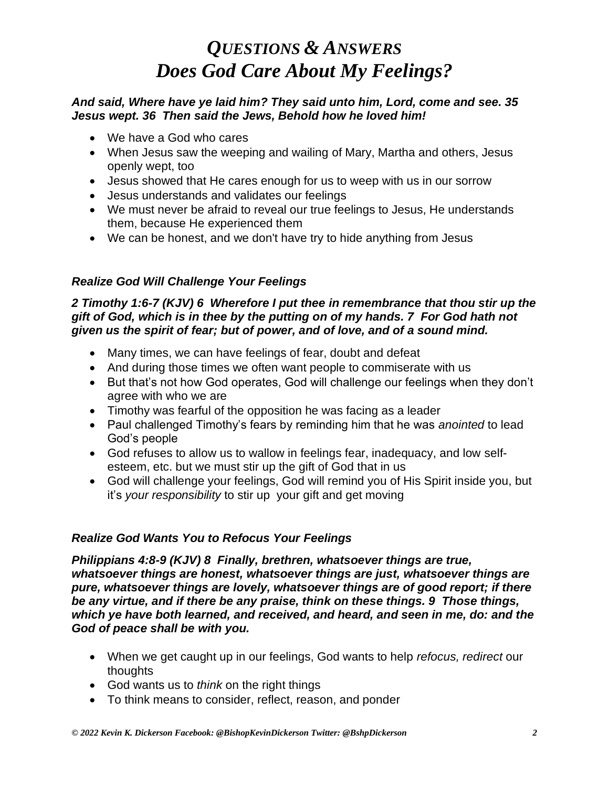### *And said, Where have ye laid him? They said unto him, Lord, come and see. 35 Jesus wept. 36 Then said the Jews, Behold how he loved him!*

- We have a God who cares
- When Jesus saw the weeping and wailing of Mary, Martha and others, Jesus openly wept, too
- Jesus showed that He cares enough for us to weep with us in our sorrow
- Jesus understands and validates our feelings
- We must never be afraid to reveal our true feelings to Jesus, He understands them, because He experienced them
- We can be honest, and we don't have try to hide anything from Jesus

## *Realize God Will Challenge Your Feelings*

#### *2 Timothy 1:6-7 (KJV) 6 Wherefore I put thee in remembrance that thou stir up the gift of God, which is in thee by the putting on of my hands. 7 For God hath not given us the spirit of fear; but of power, and of love, and of a sound mind.*

- Many times, we can have feelings of fear, doubt and defeat
- And during those times we often want people to commiserate with us
- But that's not how God operates, God will challenge our feelings when they don't agree with who we are
- Timothy was fearful of the opposition he was facing as a leader
- Paul challenged Timothy's fears by reminding him that he was *anointed* to lead God's people
- God refuses to allow us to wallow in feelings fear, inadequacy, and low selfesteem, etc. but we must stir up the gift of God that in us
- God will challenge your feelings, God will remind you of His Spirit inside you, but it's *your responsibility* to stir up your gift and get moving

## *Realize God Wants You to Refocus Your Feelings*

*Philippians 4:8-9 (KJV) 8 Finally, brethren, whatsoever things are true, whatsoever things are honest, whatsoever things are just, whatsoever things are pure, whatsoever things are lovely, whatsoever things are of good report; if there be any virtue, and if there be any praise, think on these things. 9 Those things, which ye have both learned, and received, and heard, and seen in me, do: and the God of peace shall be with you.*

- When we get caught up in our feelings, God wants to help *refocus, redirect* our thoughts
- God wants us to *think* on the right things
- To think means to consider, reflect, reason, and ponder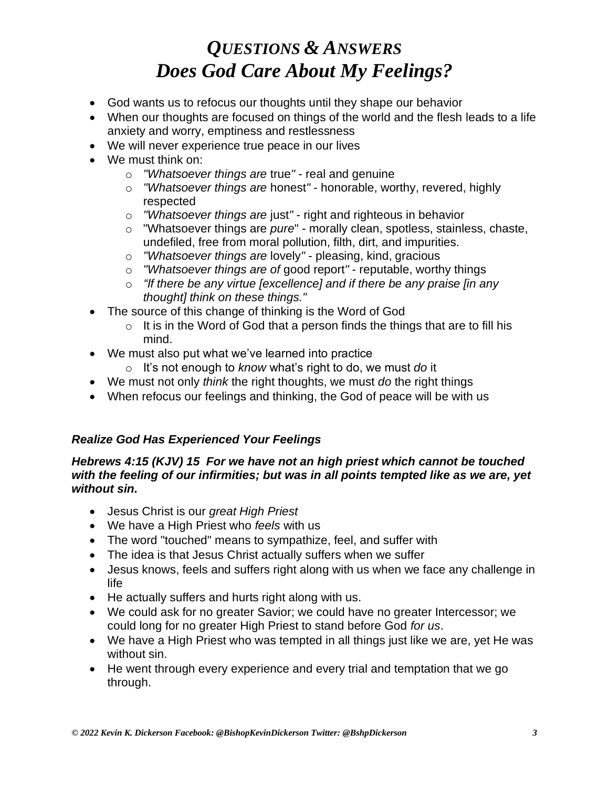- God wants us to refocus our thoughts until they shape our behavior
- When our thoughts are focused on things of the world and the flesh leads to a life anxiety and worry, emptiness and restlessness
- We will never experience true peace in our lives
- We must think on:
	- o *"Whatsoever things are* true*"* real and genuine
	- o *"Whatsoever things are* honest*"* honorable, worthy, revered, highly respected
	- o *"Whatsoever things are* just*"* right and righteous in behavior
	- o "Whatsoever things are *pure*" morally clean, spotless, stainless, chaste, undefiled, free from moral pollution, filth, dirt, and impurities.
	- o *"Whatsoever things are* lovely*"* pleasing, kind, gracious
	- o *"Whatsoever things are of* good report*"* reputable, worthy things
	- o *"If there be any virtue [excellence] and if there be any praise [in any thought] think on these things."*
- The source of this change of thinking is the Word of God
	- $\circ$  It is in the Word of God that a person finds the things that are to fill his mind.
- We must also put what we've learned into practice
	- o It's not enough to *know* what's right to do, we must *do* it
- We must not only *think* the right thoughts, we must *do* the right things
- When refocus our feelings and thinking, the God of peace will be with us

## *Realize God Has Experienced Your Feelings*

#### *Hebrews 4:15 (KJV) 15 For we have not an high priest which cannot be touched with the feeling of our infirmities; but was in all points tempted like as we are, yet without sin.*

- Jesus Christ is our *great High Priest*
- We have a High Priest who *feels* with us
- The word "touched" means to sympathize, feel, and suffer with
- The idea is that Jesus Christ actually suffers when we suffer
- Jesus knows, feels and suffers right along with us when we face any challenge in life
- He actually suffers and hurts right along with us.
- We could ask for no greater Savior; we could have no greater Intercessor; we could long for no greater High Priest to stand before God *for us*.
- We have a High Priest who was tempted in all things just like we are, yet He was without sin.
- He went through every experience and every trial and temptation that we go through.